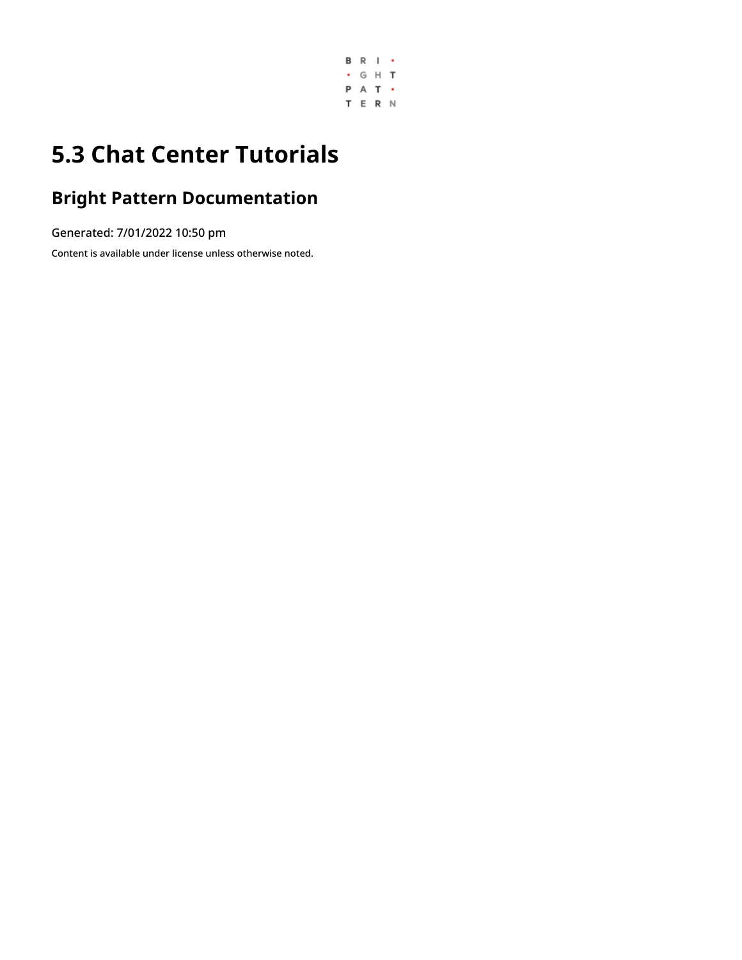

# **5.3 Chat Center Tutorials**

## **Bright Pattern Documentation**

Generated: 7/01/2022 10:50 pm

Content is available under license unless otherwise noted.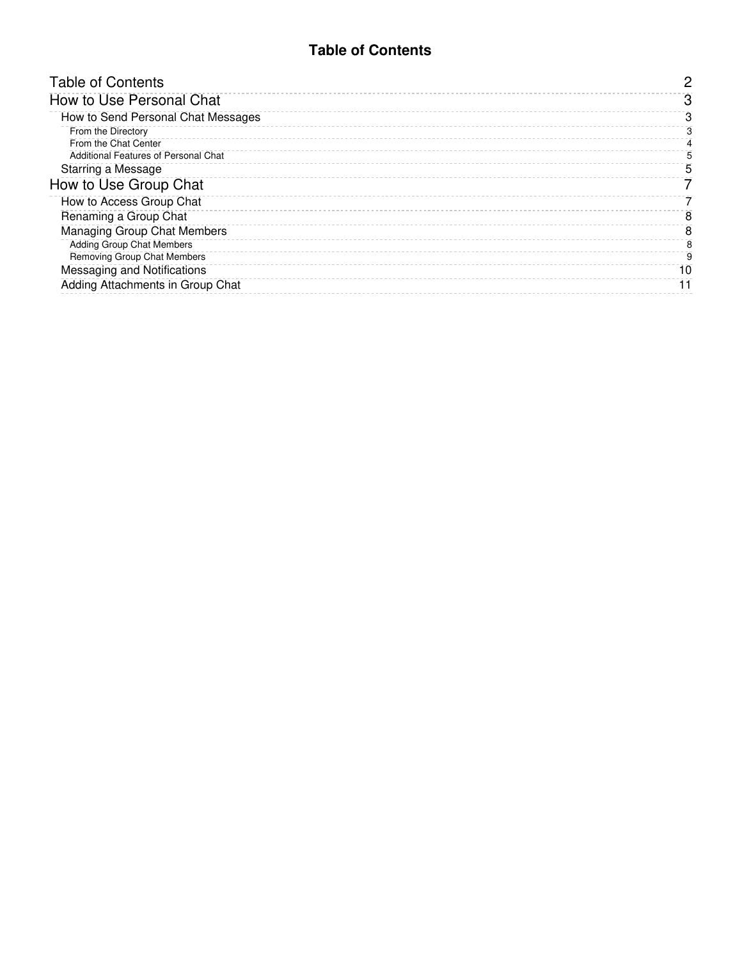### **Table of Contents**

<span id="page-1-0"></span>

| <b>Table of Contents</b>             |    |
|--------------------------------------|----|
| How to Use Personal Chat             |    |
| How to Send Personal Chat Messages   | з  |
| From the Directory                   |    |
| From the Chat Center                 |    |
| Additional Features of Personal Chat |    |
| Starring a Message                   | 5  |
| How to Use Group Chat                |    |
| How to Access Group Chat             |    |
| Renaming a Group Chat                | 8  |
| <b>Managing Group Chat Members</b>   | 8  |
| <b>Adding Group Chat Members</b>     | я  |
| Removing Group Chat Members          | 9  |
| Messaging and Notifications          | 10 |
| Adding Attachments in Group Chat     |    |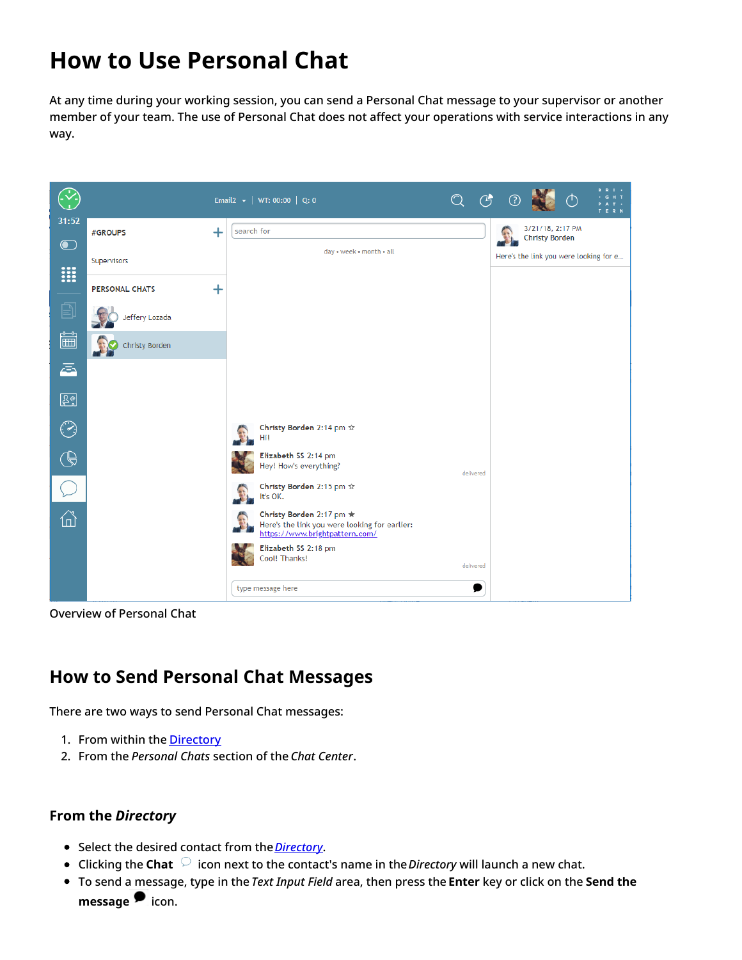# <span id="page-2-0"></span>**How to Use Personal Chat**

At any time during your working session, you can send a Personal Chat message to your supervisor or another member of your team. The use of Personal Chat does not affect your operations with service interactions in any way.



Overview of Personal Chat

### <span id="page-2-1"></span>**How to Send Personal Chat Messages**

There are two ways to send Personal Chat messages:

- 1. From within the **[Directory](https://help.brightpattern.com/5.3:Agent-guide/Tutorials/ChatCenter/Overview/?action=html-localimages-export#topic_agent-guide.2Fhowtousethedirectory)**
- 2. From the *Personal Chats* section of the *Chat Center*.

#### <span id="page-2-2"></span>**From the** *Directory*

- Select the desired contact from the *[Directory](https://help.brightpattern.com/5.3:Agent-guide/Tutorials/ChatCenter/Overview/?action=html-localimages-export#topic_agent-guide.2Fhowtousethedirectory)*.
- Clicking the **Chat**  $\heartsuit$  icon next to the contact's name in the *Directory* will launch a new chat.
- To send a message, type in the *Text Input Field* area, then press the **Enter** key or click on the **Send the messag[e](https://help.brightpattern.com/File:Group-Chat-Send-Message-50.PNG)** icon.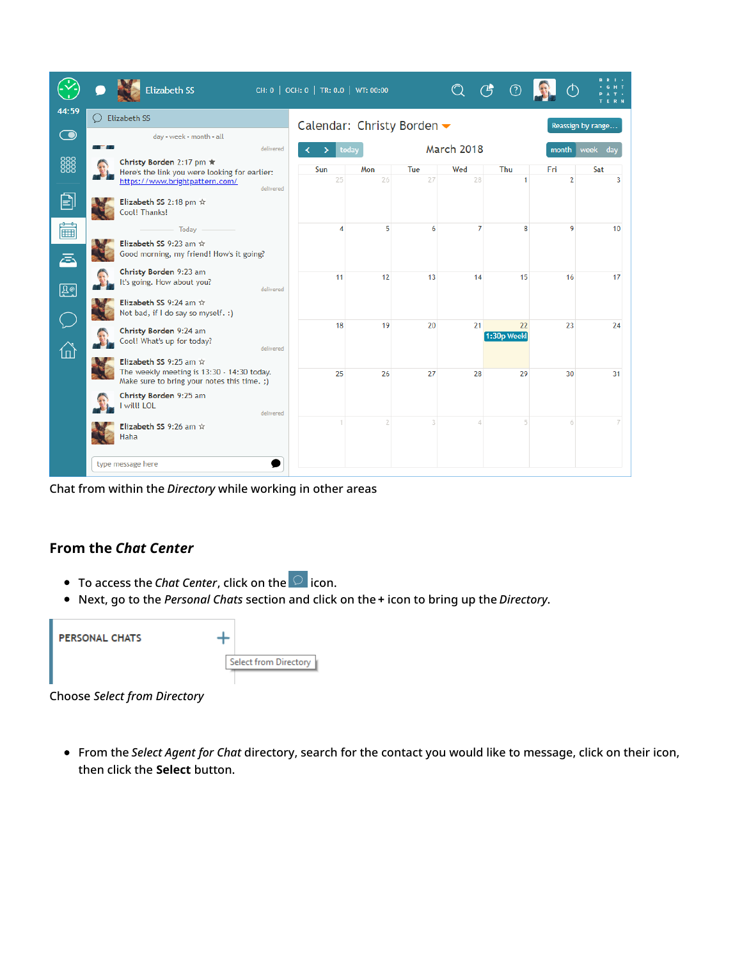|            | <b>Elizabeth SS</b>                                                                                                         |           | CH: 0   OCH: 0   TR: 0.0   WT: 00:00 |           |           | $\bigcirc$        | ⑦                 |                       |                   |
|------------|-----------------------------------------------------------------------------------------------------------------------------|-----------|--------------------------------------|-----------|-----------|-------------------|-------------------|-----------------------|-------------------|
| 44:59      | <b>Elizabeth SS</b>                                                                                                         |           | Calendar: Christy Borden ▼           |           |           |                   |                   |                       | Reassign by range |
| $\bigodot$ | day . week . month . all<br>an Maria                                                                                        | delivered |                                      | today     |           | <b>March 2018</b> |                   | month                 | week<br>dav       |
| 888        | Christy Borden 2:17 pm ★<br>Here's the link you were looking for earlier:<br>https://www.brightpattern.com/                 |           | Sun<br>25                            | Mon<br>26 | Tue<br>27 | Wed<br>28         | <b>Thu</b>        | Fri<br>$\overline{2}$ | Sat<br>3          |
| 囙          | Elizabeth SS 2:18 pm $\hat{x}$<br>Cool! Thanks!                                                                             | delivered |                                      |           |           |                   |                   |                       |                   |
| 篇<br>ā     | - Todav<br>Elizabeth SS 9:23 am $\hat{x}$<br>Good morning, my friend! How's it going?                                       |           | 4                                    | 5         | 6         | $\overline{7}$    | 8                 | 9                     | 10                |
| 図          | Christy Borden 9:23 am<br>It's going. How about you?                                                                        | delivered | 11                                   | 12        | 13        | 14                | 15                | 16                    | 17                |
|            | Elizabeth SS 9:24 am $\hat{x}$<br>Not bad, if I do say so myself. :)                                                        |           |                                      |           |           |                   |                   |                       |                   |
| ⋒          | Christy Borden 9:24 am<br>Cool! What's up for today?                                                                        | delivered | 18                                   | 19        | 20        | 21                | 22<br>1:30p Weekl | 23                    | 24                |
|            | Elizabeth SS 9:25 am $\hat{x}$<br>The weekly meeting is 13:30 - 14:30 today.<br>Make sure to bring your notes this time. ;) |           | 25                                   | 26        | 27        | 28                | 29                | 30                    | 31                |
|            | Christy Borden 9:25 am<br>will! LOL                                                                                         | delivered |                                      |           |           |                   |                   |                       |                   |
|            | Elizabeth SS 9:26 am $\hat{x}$<br>Haha                                                                                      |           |                                      |           |           |                   |                   |                       |                   |
|            | type message here                                                                                                           |           |                                      |           |           |                   |                   |                       |                   |

Chat from within the *Directory* while working in other areas

### <span id="page-3-0"></span>**From the** *Chat Center*

- To access the *Chat Center*, click on the <sup>O</sup> icon.
- Next, go to the *Personal Chats* section and click on the **+** icon to bring up the *Directory*.

| <b>PERSONAL CHATS</b> |                       |
|-----------------------|-----------------------|
|                       | Select from Directory |

Choose *Select from Directory*

From the *Select Agent for Chat* directory, search for the contact you would like to message, click on their icon, then click the **Select** button.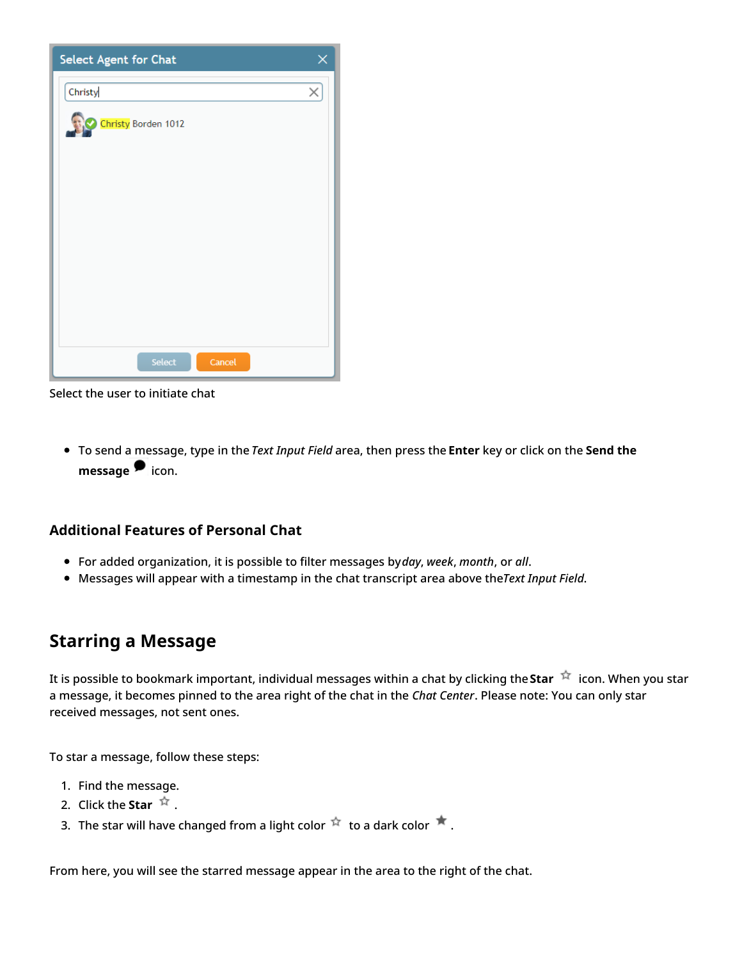| Select Agent for Chat | × |
|-----------------------|---|
| Christy               | × |
| Christy Borden 1012   |   |
|                       |   |
| Select<br>Cancel      |   |

Select the user to initiate chat

To send a message, type in the *Text Input Field* area, then press the **Enter** key or click on the **Send the messag[e](https://help.brightpattern.com/File:Group-Chat-Send-Message-50.PNG)** icon.

#### <span id="page-4-0"></span>**Additional Features of Personal Chat**

- For added organization, it is possible to filter messages by*day*, *week*, *month*, or *all*.
- Messages will appear with a timestamp in the chat transcript area above the*Text Input Field*.

### <span id="page-4-1"></span>**Starring a Message**

It is possible to bookmark important, individual messages within a chat by clicking the Star  $\dot{X}$  icon. When you star a message, it becomes pinned to the area right of the chat in the *Chat Center*. Please note: You can only star received messages, not sent ones.

To star a message, follow these steps:

- 1. Find the message.
- 2. Click the **Star**  $\overrightarrow{R}$ .
- 3. The star will have changed from a light color  $\overrightarrow{r}$  to a dark color  $\overrightarrow{r}$ .

From here, you will see the starred message appear in the area to the right of the chat.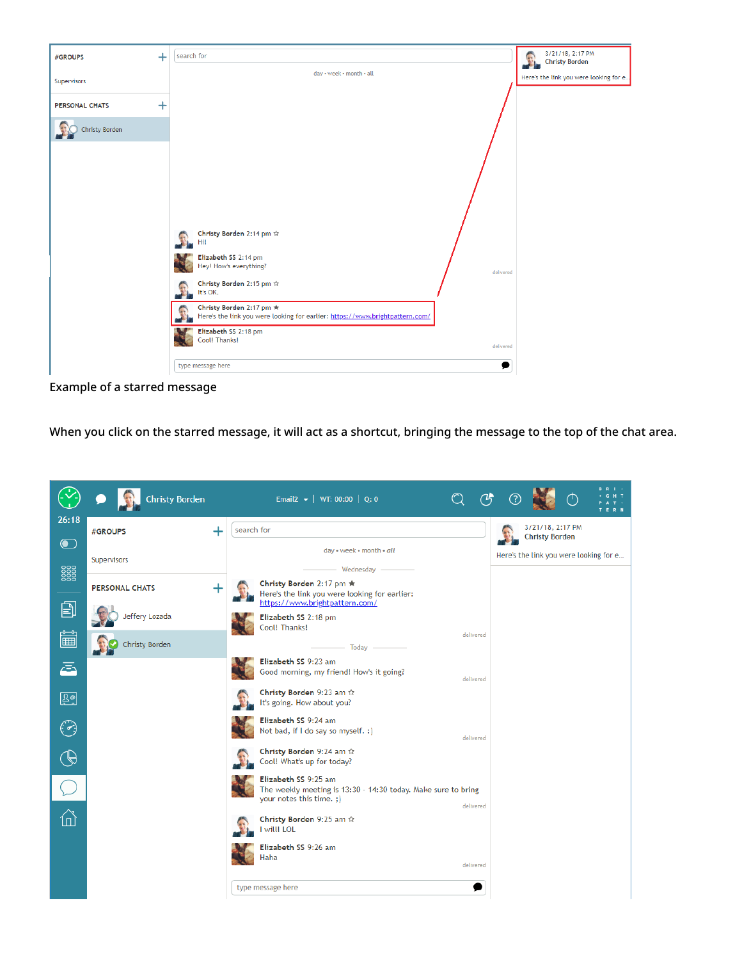

Example of a starred message

When you click on the starred message, it will act as a shortcut, bringing the message to the top of the chat area.

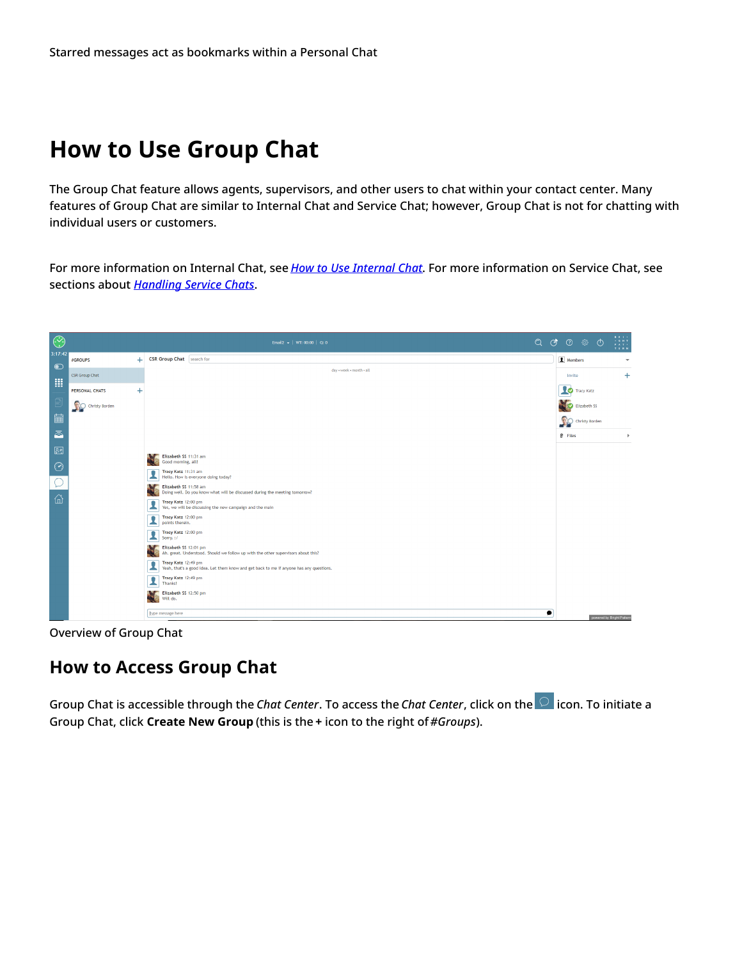## <span id="page-6-0"></span>**How to Use Group Chat**

The Group Chat feature allows agents, supervisors, and other users to chat within your contact center. Many features of Group Chat are similar to Internal Chat and Service Chat; however, Group Chat is not for chatting with individual users or customers.

For more information on Internal Chat, see *How to Use [Internal](https://help.brightpattern.com/5.3:Agent-guide/Tutorials/ChatCenter/Overview/?action=html-localimages-export#topic_agent-guide.2Fhowtouseinternalchat) Chat*. For more information on Service Chat, see sections about *[Handling](https://help.brightpattern.com/5.3:Agent-guide/Tutorials/ChatCenter/Overview/?action=html-localimages-export#topic_agent-guide.2Fhowtosendchatmessages) Service Chats*.



Overview of Group Chat

### <span id="page-6-1"></span>**How to Access Group Chat**

Group Chat is accessible through the *Chat Center*. To access the *Chat Center*, click on the icon. To initiate a Group Chat, click **Create New Group** (this is the **+** icon to the right of*#Groups*).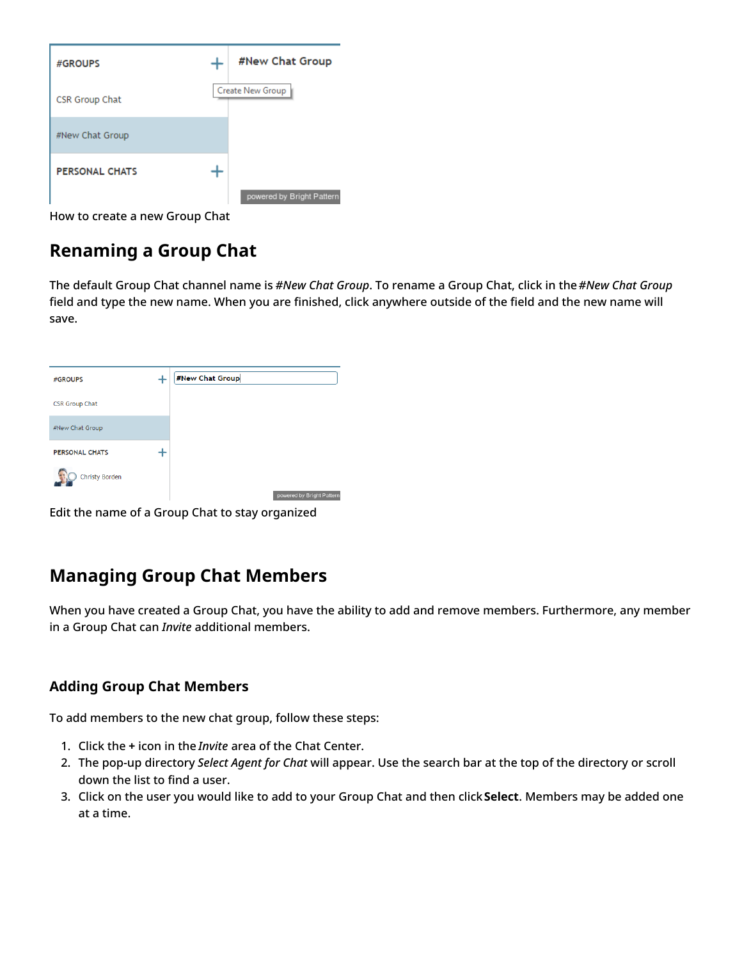| #GROUPS               | #New Chat Group           |
|-----------------------|---------------------------|
| CSR Group Chat        | Create New Group          |
| #New Chat Group       |                           |
| <b>PERSONAL CHATS</b> | powered by Bright Pattern |

How to create a new Group Chat

## <span id="page-7-0"></span>**Renaming a Group Chat**

The default Group Chat channel name is *#New Chat Group*. To rename a Group Chat, click in the*#New Chat Group* field and type the new name. When you are finished, click anywhere outside of the field and the new name will save.

| #GROUPS               | #New Chat Group           |
|-----------------------|---------------------------|
| <b>CSR Group Chat</b> |                           |
| #New Chat Group       |                           |
| <b>PERSONAL CHATS</b> |                           |
| Christy Borden        | powered by Bright Pattern |

Edit the name of a Group Chat to stay organized

## <span id="page-7-1"></span>**Managing Group Chat Members**

When you have created a Group Chat, you have the ability to add and remove members. Furthermore, any member in a Group Chat can *Invite* additional members.

### <span id="page-7-2"></span>**Adding Group Chat Members**

To add members to the new chat group, follow these steps:

- 1. Click the **+** icon in the *Invite* area of the Chat Center.
- 2. The pop-up directory *Select Agent for Chat* will appear. Use the search bar at the top of the directory or scroll down the list to find a user.
- 3. Click on the user you would like to add to your Group Chat and then click**Select**. Members may be added one at a time.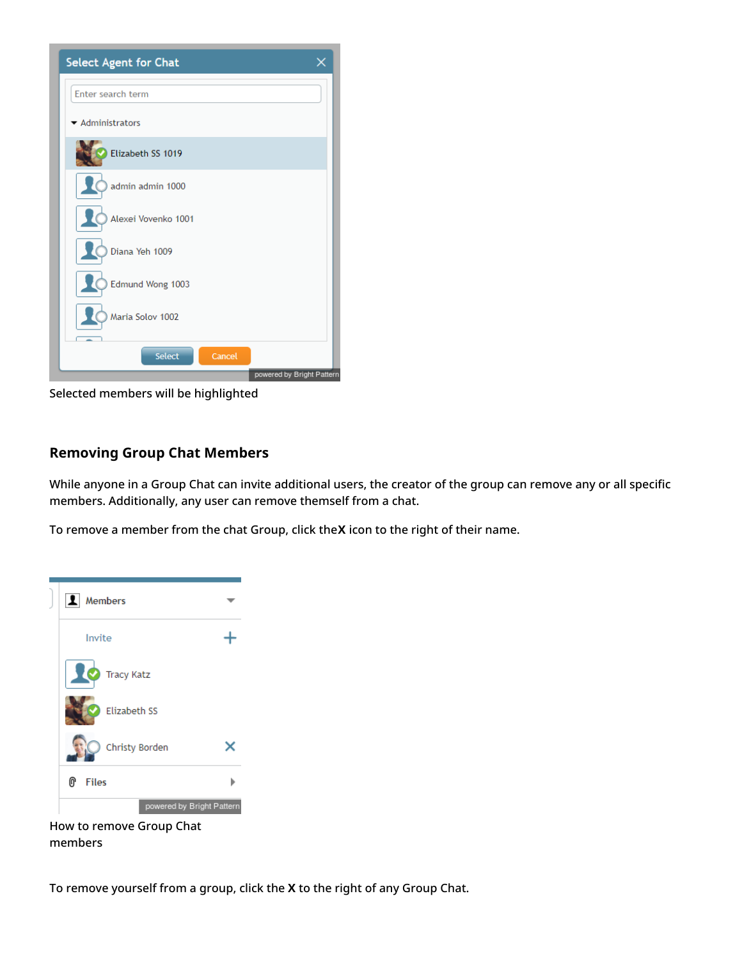| <b>Select Agent for Chat</b>         |        |                           |
|--------------------------------------|--------|---------------------------|
| Enter search term                    |        |                           |
| $\blacktriangleright$ Administrators |        |                           |
| Elizabeth SS 1019                    |        |                           |
| admin admin 1000                     |        |                           |
| Alexei Vovenko 1001                  |        |                           |
| Diana Yeh 1009                       |        |                           |
| Edmund Wong 1003                     |        |                           |
| Maria Solov 1002                     |        |                           |
| <b>Select</b>                        | Cancel |                           |
|                                      |        | powered by Bright Pattern |

Selected members will be highlighted

#### <span id="page-8-0"></span>**Removing Group Chat Members**

While anyone in a Group Chat can invite additional users, the creator of the group can remove any or all specific members. Additionally, any user can remove themself from a chat.

To remove a member from the chat Group, click the**X** icon to the right of their name.



How to remove Group Chat members

To remove yourself from a group, click the **X** to the right of any Group Chat.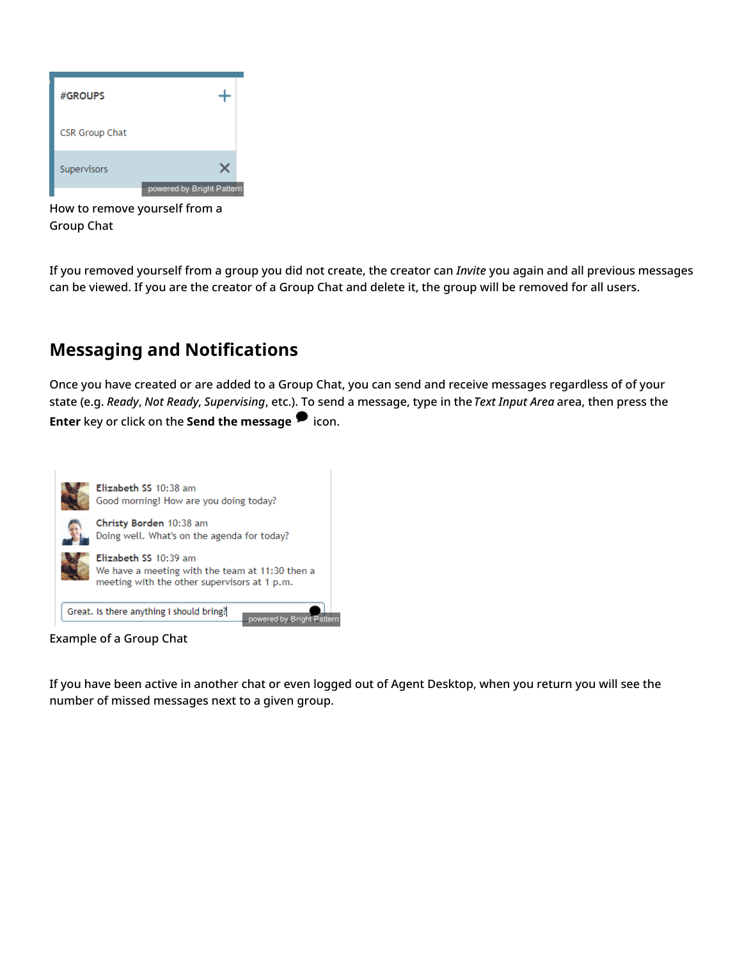

How to remove yourself from a Group Chat

If you removed yourself from a group you did not create, the creator can *Invite* you again and all previous messages can be viewed. If you are the creator of a Group Chat and delete it, the group will be removed for all users.

## <span id="page-9-0"></span>**Messaging and Notifications**

Once you have created or are added to a Group Chat, you can send and receive messages regardless of of your state (e.g. *Ready*, *Not Ready*, *Supervising*, etc.). To send a message, type in the*Text Input Area* area, then press the **Enter** key or click on the **Send the messag[e](https://help.brightpattern.com/File:Group-Chat-Send-Message-50.PNG)** icon.



Example of a Group Chat

If you have been active in another chat or even logged out of Agent Desktop, when you return you will see the number of missed messages next to a given group.